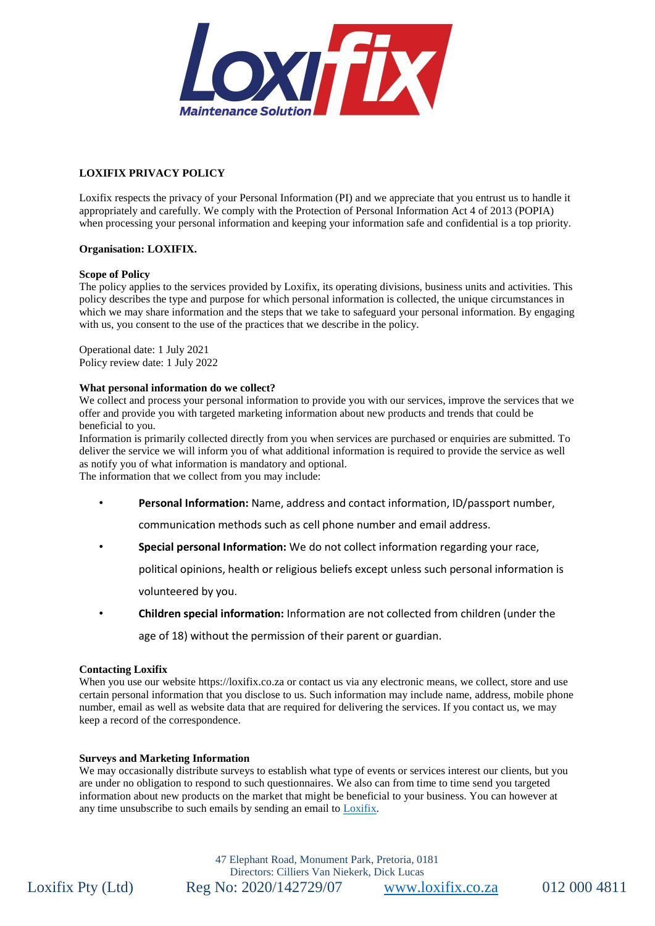

# **LOXIFIX PRIVACY POLICY**

Loxifix respects the privacy of your Personal Information (PI) and we appreciate that you entrust us to handle it appropriately and carefully. We comply with the Protection of Personal Information Act 4 of 2013 (POPIA) when processing your personal information and keeping your information safe and confidential is a top priority.

## **Organisation: LOXIFIX.**

### **Scope of Policy**

The policy applies to the services provided by Loxifix, its operating divisions, business units and activities. This policy describes the type and purpose for which personal information is collected, the unique circumstances in which we may share information and the steps that we take to safeguard your personal information. By engaging with us, you consent to the use of the practices that we describe in the policy.

Operational date: 1 July 2021 Policy review date: 1 July 2022

### **What personal information do we collect?**

We collect and process your personal information to provide you with our services, improve the services that we offer and provide you with targeted marketing information about new products and trends that could be beneficial to you.

Information is primarily collected directly from you when services are purchased or enquiries are submitted. To deliver the service we will inform you of what additional information is required to provide the service as well as notify you of what information is mandatory and optional.

The information that we collect from you may include:

• **Personal Information:** Name, address and contact information, ID/passport number,

communication methods such as cell phone number and email address.

• **Special personal Information:** We do not collect information regarding your race,

political opinions, health or religious beliefs except unless such personal information is

volunteered by you.

• **Children special information:** Information are not collected from children (under the

age of 18) without the permission of their parent or guardian.

#### **Contacting Loxifix**

When you use our website https://loxifix.co.za or contact us via any electronic means, we collect, store and use certain personal information that you disclose to us. Such information may include name, address, mobile phone number, email as well as website data that are required for delivering the services. If you contact us, we may keep a record of the correspondence.

#### **Surveys and Marketing Information**

We may occasionally distribute surveys to establish what type of events or services interest our clients, but you are under no obligation to respond to such questionnaires. We also can from time to time send you targeted information about new products on the market that might be beneficial to your business. You can however at any time unsubscribe to such emails by sending an email to [Loxifix.](mailto:cilliers@loxifix.co.za?subject=Unsubscribe%20to%20Loxifix)

47 Elephant Road, Monument Park, Pretoria, 0181 Directors: Cilliers Van Niekerk, Dick Lucas Loxifix Pty (Ltd) Reg No: 2020/142729/07 [www.loxifix.co.za](http://www.loxifix.co.za/) 012 000 4811